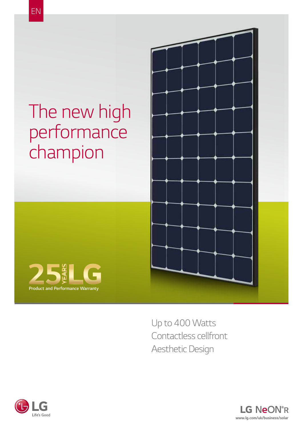## *The new high performance champion*





*Up to 400 Watts Contactless cellfront Aesthetic Design*



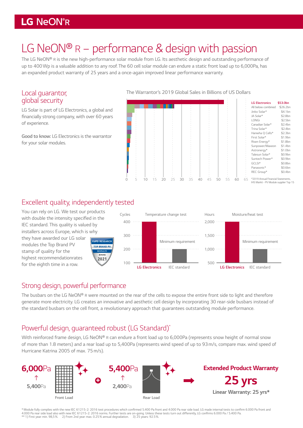### LG NeON®R

## *LG NeON® R – performance & design with passion*

*The LG NeON® R is the new high-performance solar module from LG. Its aesthetic design and outstanding performance of up to 400Wp is a valuable addition to any roof. The 60 cell solar module can endure a static front load up to 6,000Pa, has an expanded product warranty of 25 years and a once-again improved linear performance warranty.*

#### *Local guarantor, global security*

*LG Solar is part of LG Electronics, a global and*  financially strong company, with over 60 years *of experience.* 

*Good to know: LG Electronics is the warrantor for your solar modules.*

#### The Warrantor's 2019 Global Sales in Billions of US Dollars



#### *Excellent quality, independently tested*

*You can rely on LG. We test our products*  with double the intensity specified in the *IEC standard. This quality is valued by installers across Europe, which is why* 

*they have awarded our LG solar modules the Top Brand PV stamp of quality for the highest recommendationrates for the eighth time in a row.*





#### *Strong design, powerful performance*

*The busbars on the LG NeON® R were mounted on the rear of the cells to expose the entire front side to light and therefore generate more electricity. LG creates an innovative and aesthetic cell design by incorporating 30 rear-side busbars instead of the standard busbars on the cell front, a revolutionary approach that guarantees outstanding module performance.*

#### *Powerful design, guaranteed robust (LG Standard)\**

*With reinforced frame design, LG NeON® R can endure a front load up to 6,000Pa (represents snow height of normal snow of more than 1.8 meters) and a rear load up to 5,400Pa (represents wind speed of up to 93 m/s, compare max. wind speed of Hurricane Katrina 2005 of max. 75m/s).*



\* Module fully complies with the new IEC 61215-2: 2016 test procedures which confirmed 5.400 Pa front and 4.000 Pa rear side load. LG made internal tests to confirm 6.000 Pa front and 4.000 Pa rear side load also with new IEC 61215-2: 2016 norms. Further tests are on-going. Unless these tests turn out differently, LG confirms 6.000 Pa / 5.400 Pa.<br>\*\* 1) First year. min. 98,5 %. 2) From 2nd year. max.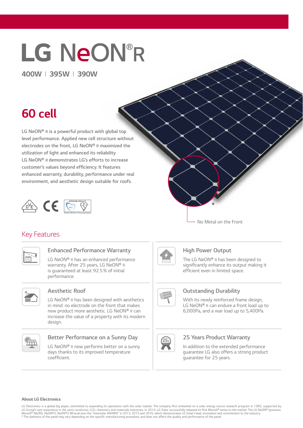# LG NeON®R

*400W I 395W I 390W*

## *60 cell*

*LG NeON® R is a powerful product with global top level performance. Applied new cell structure without electrodes on the front, LG NeON® R maximized the*  **utilization of light and enhanced its reliability** *LG NeON® R demonstrates LG's efforts to increase*  **customer's values beyond efficiency. It features enhanced warranty, durability, performance under real**  *environment, and aesthetic design suitable for roofs.* 



#### *Key Features*



#### **Enhanced Performance Warranty**

*LG NeON® R has an enhanced performance warranty. After 25 years, LG NeON® R is guaranteed at least 92.5% of initial performance.*



#### *Aesthetic Roof*

*LG NeON® R has been designed with aesthetics in mind: no electrode on the front that makes new product more aesthetic. LG NeON® R can increase the value of a property with its modern design.*



#### **Better Performance on a Sunny Day**

*LG NeON® R now performs better on a sunny days thanks to its improved temperature*  coefficient.

*No Metal on the Front*

*\**



#### *High Power Output*

*The LG NeON® R has been designed to*  significantly enhance its output making it efficient even in limited space.



#### **Outstanding Durability**

*With its newly reinforced frame design, LG NeON® R can endure a front load up to 6,000Pa, and a rear load up to 5,400Pa.*



#### **25 Years Product Warranty**

*In addition to the extended performance guarantee LG also offers a strong product guarantee for 25 years.*

#### *About LG Electronics*

LG Electronics is a global big player, committed to expanding its operations with the solar market. The company first embarked on a solar energy source research program in 1985, supported by<br>LG Group's vast experience in t MonoX® NeON), NeON®2, NeON®2 BiFacial won the "Intersolar AWARD" in 2013, 2015 and 2016, which demonstrates LG Solar's lead, innovation and commitment to the industry \* The darkness of the panel may vary depending on the specific manufacturing procedure, and does not affect the quality and performance of the panel.